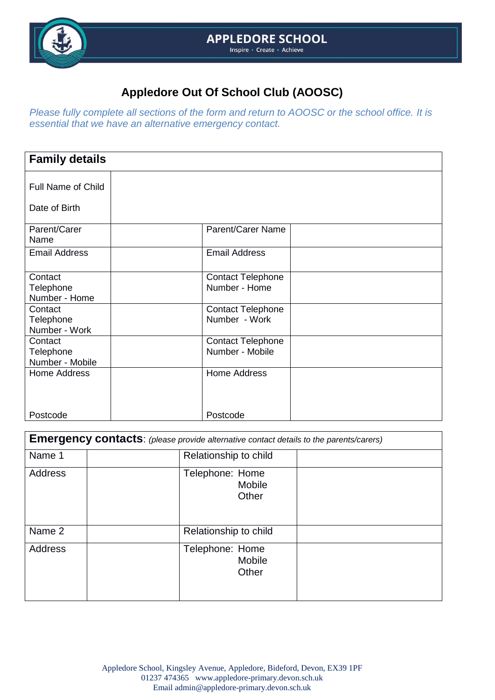

*Please fully complete all sections of the form and return to AOOSC or the school office. It is essential that we have an alternative emergency contact.*

| <b>Family details</b>      |                          |  |
|----------------------------|--------------------------|--|
| <b>Full Name of Child</b>  |                          |  |
| Date of Birth              |                          |  |
| Parent/Carer<br>Name       | <b>Parent/Carer Name</b> |  |
| <b>Email Address</b>       | <b>Email Address</b>     |  |
| Contact                    | <b>Contact Telephone</b> |  |
| Telephone<br>Number - Home | Number - Home            |  |
| Contact                    | <b>Contact Telephone</b> |  |
| Telephone<br>Number - Work | Number - Work            |  |
| Contact                    | <b>Contact Telephone</b> |  |
| Telephone                  | Number - Mobile          |  |
| Number - Mobile            |                          |  |
| <b>Home Address</b>        | <b>Home Address</b>      |  |
| Postcode                   | Postcode                 |  |

| <b>Emergency contacts:</b> (please provide alternative contact details to the parents/carers) |                       |                                           |  |  |  |
|-----------------------------------------------------------------------------------------------|-----------------------|-------------------------------------------|--|--|--|
| Name 1                                                                                        | Relationship to child |                                           |  |  |  |
| <b>Address</b>                                                                                |                       | Telephone: Home<br><b>Mobile</b><br>Other |  |  |  |
| Name 2                                                                                        |                       | Relationship to child                     |  |  |  |
| <b>Address</b>                                                                                |                       | Telephone: Home<br><b>Mobile</b><br>Other |  |  |  |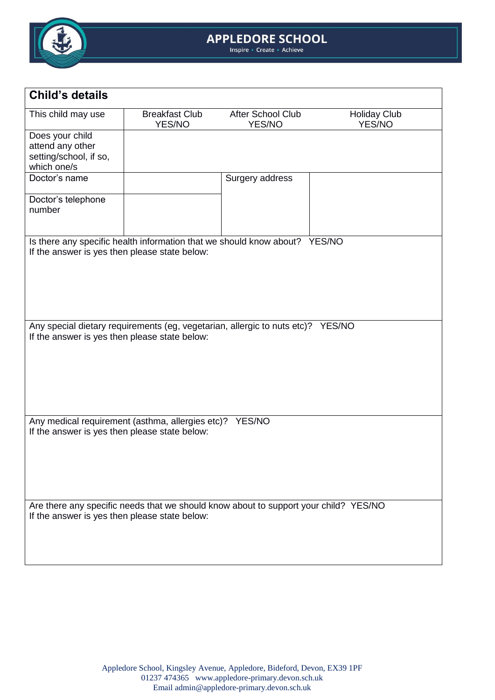

## **APPLEDORE SCHOOL**<br>Inspire + Create + Achieve

| <b>Child's details</b>                                                                                                                |                                 |                             |                               |  |  |  |
|---------------------------------------------------------------------------------------------------------------------------------------|---------------------------------|-----------------------------|-------------------------------|--|--|--|
| This child may use                                                                                                                    | <b>Breakfast Club</b><br>YES/NO | After School Club<br>YES/NO | <b>Holiday Club</b><br>YES/NO |  |  |  |
| Does your child                                                                                                                       |                                 |                             |                               |  |  |  |
| attend any other                                                                                                                      |                                 |                             |                               |  |  |  |
| setting/school, if so,                                                                                                                |                                 |                             |                               |  |  |  |
| which one/s<br>Doctor's name                                                                                                          |                                 | Surgery address             |                               |  |  |  |
|                                                                                                                                       |                                 |                             |                               |  |  |  |
| Doctor's telephone                                                                                                                    |                                 |                             |                               |  |  |  |
| number                                                                                                                                |                                 |                             |                               |  |  |  |
|                                                                                                                                       |                                 |                             |                               |  |  |  |
| Is there any specific health information that we should know about? YES/NO                                                            |                                 |                             |                               |  |  |  |
| If the answer is yes then please state below:                                                                                         |                                 |                             |                               |  |  |  |
|                                                                                                                                       |                                 |                             |                               |  |  |  |
|                                                                                                                                       |                                 |                             |                               |  |  |  |
|                                                                                                                                       |                                 |                             |                               |  |  |  |
|                                                                                                                                       |                                 |                             |                               |  |  |  |
|                                                                                                                                       |                                 |                             |                               |  |  |  |
| Any special dietary requirements (eg, vegetarian, allergic to nuts etc)? YES/NO                                                       |                                 |                             |                               |  |  |  |
| If the answer is yes then please state below:                                                                                         |                                 |                             |                               |  |  |  |
|                                                                                                                                       |                                 |                             |                               |  |  |  |
|                                                                                                                                       |                                 |                             |                               |  |  |  |
|                                                                                                                                       |                                 |                             |                               |  |  |  |
|                                                                                                                                       |                                 |                             |                               |  |  |  |
|                                                                                                                                       |                                 |                             |                               |  |  |  |
| Any medical requirement (asthma, allergies etc)? YES/NO                                                                               |                                 |                             |                               |  |  |  |
| If the answer is yes then please state below:                                                                                         |                                 |                             |                               |  |  |  |
|                                                                                                                                       |                                 |                             |                               |  |  |  |
|                                                                                                                                       |                                 |                             |                               |  |  |  |
|                                                                                                                                       |                                 |                             |                               |  |  |  |
|                                                                                                                                       |                                 |                             |                               |  |  |  |
|                                                                                                                                       |                                 |                             |                               |  |  |  |
| Are there any specific needs that we should know about to support your child? YES/NO<br>If the answer is yes then please state below: |                                 |                             |                               |  |  |  |
|                                                                                                                                       |                                 |                             |                               |  |  |  |
|                                                                                                                                       |                                 |                             |                               |  |  |  |
|                                                                                                                                       |                                 |                             |                               |  |  |  |
|                                                                                                                                       |                                 |                             |                               |  |  |  |